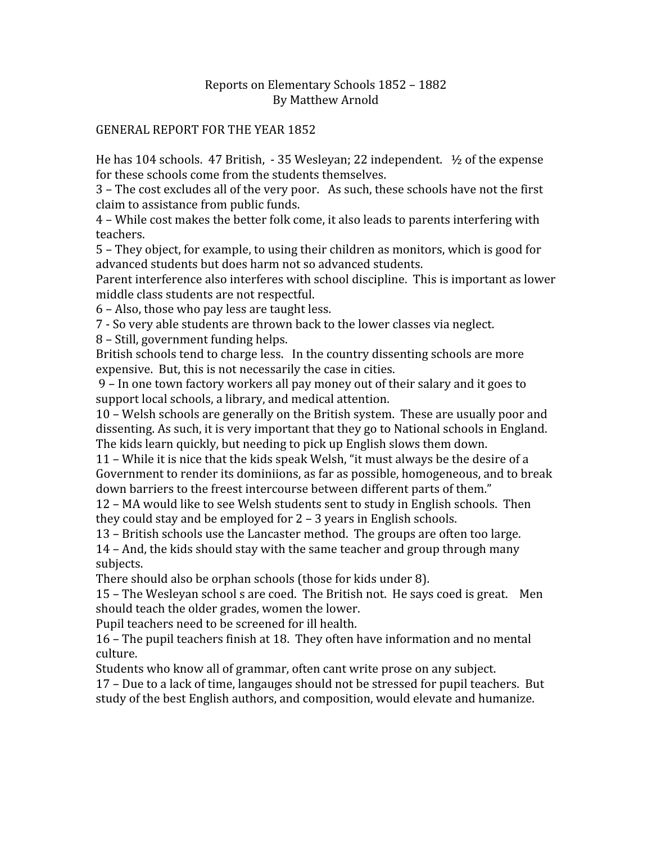### Reports
on
Elementary
Schools
1852
–
1882 By
Matthew
Arnold

#### GENERAL
REPORT
FOR
THE
YEAR
1852

He has 104 schools. 47 British, - 35 Wesleyan; 22 independent.  $\frac{1}{2}$  of the expense for
these
schools
come
from
the
students
themselves.

3
–
The
cost
excludes
all
of
the
very
poor.

As
such,
these
schools
have
not
the
first claim
to
assistance
from
public
funds.

4
–
While
cost
makes
the
better
folk
come,
it
also
leads
to
parents
interfering
with teachers.

5
–
They
object,
for
example,
to
using
their
children
as
monitors,
which
is
good
for advanced
students
but
does
harm
not
so
advanced
students.

Parent interference also interferes with school discipline. This is important as lower middle
class
students
are
not
respectful.

6
–
Also,
those
who
pay
less
are
taught
less.

7
‐
So
very
able
students
are
thrown
back
to
the
lower
classes
via
neglect.

8
–
Still,
government
funding
helps.

British
schools
tend
to
charge
less.

In
the
country
dissenting
schools
are
more expensive. But, this is not necessarily the case in cities.

9
–
In
one
town
factory
workers
all
pay
money
out
of
their
salary
and
it
goes
to support
local
schools,
a
library,
and
medical
attention.

10
–
Welsh
schools
are
generally
on
the
British
system.

These
are
usually
poor
and dissenting.
As
such,
it
is
very
important
that
they
go
to
National
schools
in
England. The
kids
learn
quickly,
but
needing
to
pick
up
English
slows
them
down.

11
–
While
it
is
nice
that
the
kids
speak
Welsh,
"it
must
always
be
the
desire
of
a Government to render its dominiions, as far as possible, homogeneous, and to break down barriers to the freest intercourse between different parts of them."

12
–
MA
would
like
to
see
Welsh
students
sent
to
study
in
English
schools.

Then they
could
stay
and
be
employed
for
2
–
3
years
in
English
schools.

13
–
British
schools
use
the
Lancaster
method.

The
groups
are
often
too
large.

14
–
And,
the
kids
should
stay
with
the
same
teacher
and
group
through
many subjects.

There
should
also
be
orphan
schools
(those
for
kids
under
8).

15
–
The
Wesleyan
school
s
are
coed.

The
British
not.

He
says
coed
is
great.

Men should
teach
the
older
grades,
women
the
lower.

Pupil
teachers
need
to
be
screened
for
ill
health.

16
–
The
pupil
teachers
finish
at
18.

They
often
have
information
and
no
mental culture.

Students who know all of grammar, often cant write prose on any subject.

17
–
Due
to
a
lack
of
time,
langauges
should
not
be
stressed
for
pupil
teachers.

But study
of
the
best
English
authors,
and
composition,
would
elevate
and
humanize.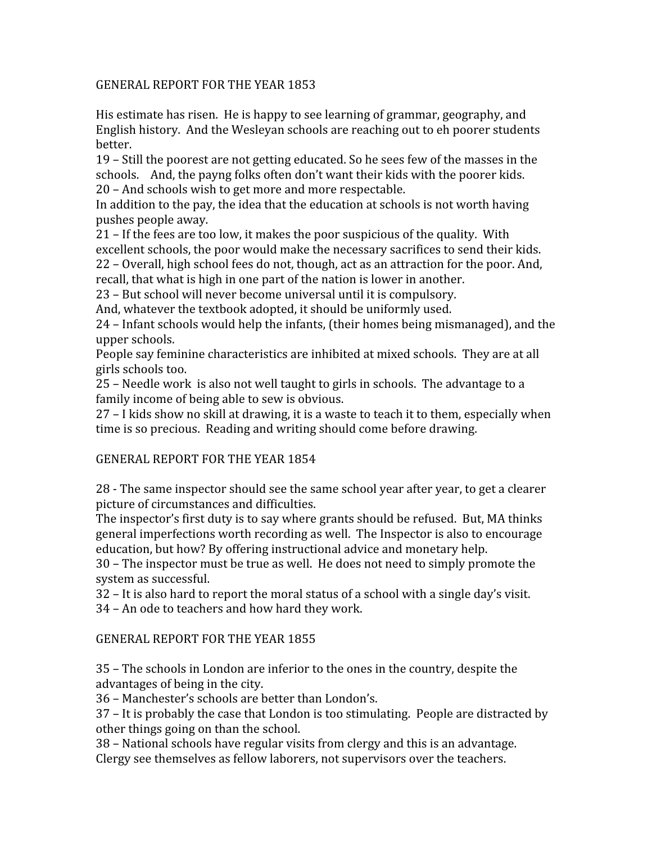#### GENERAL
REPORT
FOR
THE
YEAR
1853

His
estimate
has
risen.

He
is
happy
to
see
learning
of
grammar,
geography,
and English history. And the Wesleyan schools are reaching out to eh poorer students better.

19
–
Still
the
poorest
are
not
getting
educated.
So
he
sees
few
of
the
masses
in
the schools. And, the payng folks often don't want their kids with the poorer kids. 20
–
And
schools
wish
to
get
more
and
more
respectable.

In addition to the pay, the idea that the education at schools is not worth having pushes
people
away.

21
–
If
the
fees
are
too
low,
it
makes
the
poor
suspicious
of
the
quality.

With excellent
schools,
the
poor
would
make
the
necessary
sacrifices
to
send
their
kids. 22
–
Overall,
high
school
fees
do
not,
though,
act
as
an
attraction
for
the
poor.
And, recall,
that
what
is
high
in
one
part
of
the
nation
is
lower
in
another.

23
–
But
school
will
never
become
universal
until
it
is
compulsory.

And,
whatever
the
textbook
adopted,
it
should
be
uniformly
used.

24 – Infant schools would help the infants, (their homes being mismanaged), and the upper
schools.

People say feminine characteristics are inhibited at mixed schools. They are at all girls
schools
too.

25
–
Needle
work

is
also
not
well
taught
to
girls
in
schools.

The
advantage
to
a family income of being able to sew is obvious.

27
–
I
kids
show
no
skill
at
drawing,
it
is
a
waste
to
teach
it
to
them,
especially
when time
is
so
precious.

Reading
and
writing
should
come
before
drawing.

### GENERAL
REPORT
FOR
THE
YEAR
1854

28
‐
The
same
inspector
should
see
the
same
school
year
after
year,
to
get
a
clearer picture
of
circumstances
and
difficulties.

The inspector's first duty is to say where grants should be refused. But, MA thinks general
imperfections
worth
recording
as
well.

The
Inspector
is
also
to
encourage education,
but
how?
By
offering
instructional
advice
and
monetary
help.

30
–
The
inspector
must
be
true
as
well.

He
does
not
need
to
simply
promote
the system
as
successful.

32
–
It
is
also
hard
to
report
the
moral
status
of
a
school
with
a
single
day's
visit.

34
–
An
ode
to
teachers
and
how
hard
they
work.

### GENERAL
REPORT
FOR
THE
YEAR
1855

35
–
The
schools
in
London
are
inferior
to
the
ones
in
the
country,
despite
the advantages
of
being
in
the
city.

36
–
Manchester's
schools
are
better
than
London's.

37
–
It
is
probably
the
case
that
London
is
too
stimulating.

People
are
distracted
by other
things
going
on
than
the
school.

38
–
National
schools
have
regular
visits
from
clergy
and
this
is
an
advantage. Clergy
see
themselves
as
fellow
laborers,
not
supervisors
over
the
teachers.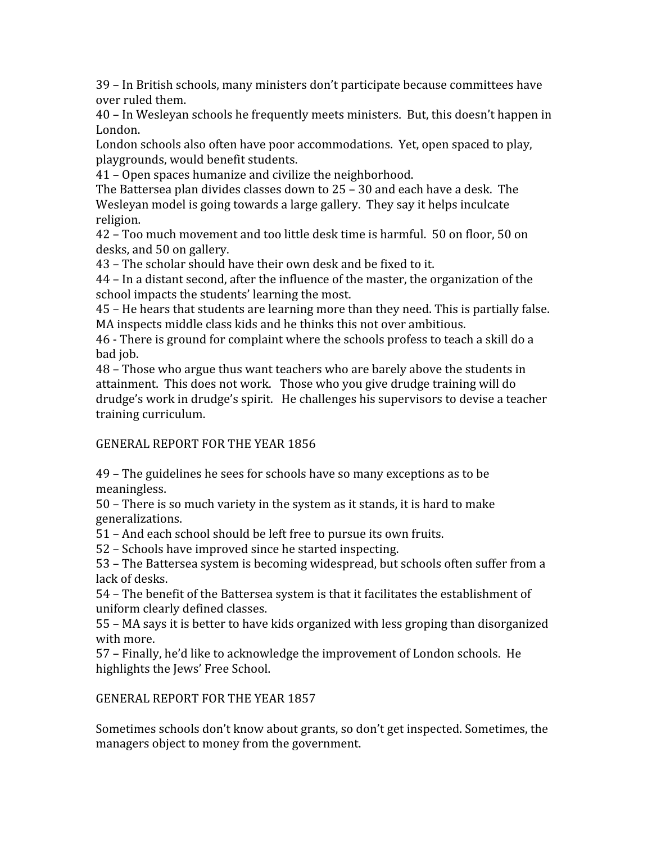39
–
In
British
schools,
many
ministers
don't
participate
because
committees
have over
ruled
them.

40
–
In
Wesleyan
schools
he
frequently
meets
ministers.

But,
this
doesn't
happen
in London.

London schools also often have poor accommodations. Yet, open spaced to play, playgrounds,
would
benefit
students.

41
–
Open
spaces
humanize
and
civilize
the
neighborhood.

The Battersea plan divides classes down to 25 - 30 and each have a desk. The Wesleyan model is going towards a large gallery. They say it helps inculcate religion.

42
–
Too
much
movement
and
too
little
desk
time
is
harmful.

50
on
floor,
50
on desks,
and
50
on
gallery.

43
–
The
scholar
should
have
their
own
desk
and
be
fixed
to
it.

44
–
In
a
distant
second,
after
the
influence
of
the
master,
the
organization
of
the school
impacts
the
students'
learning
the
most.

45
–
He
hears
that
students
are
learning
more
than
they
need.
This
is
partially
false. MA
inspects
middle
class
kids
and
he
thinks
this
not
over
ambitious.

46
‐
There
is
ground
for
complaint
where
the
schools
profess
to
teach
a
skill
do
a bad
job.

48
–
Those
who
argue
thus
want
teachers
who
are
barely
above
the
students
in attainment.

This
does
not
work.

Those
who
you
give
drudge
training
will
do drudge's work in drudge's spirit. He challenges his supervisors to devise a teacher training
curriculum.

# GENERAL
REPORT
FOR
THE
YEAR
1856

49
–
The
guidelines
he
sees
for
schools
have
so
many
exceptions
as
to
be meaningless.

50
–
There
is
so
much
variety
in
the
system
as
it
stands,
it
is
hard
to
make generalizations.

51
–
And
each
school
should
be
left
free
to
pursue
its
own
fruits.

52
–
Schools
have
improved
since
he
started
inspecting.

53
–
The
Battersea
system
is
becoming
widespread,
but
schools
often
suffer
from
a lack
of
desks.

54
–
The
benefit
of
the
Battersea
system
is
that
it
facilitates
the
establishment
of uniform
clearly
defined
classes.

55
–
MA
says
it
is
better
to
have
kids
organized
with
less
groping
than
disorganized with
more.

57
–
Finally,
he'd
like
to
acknowledge
the
improvement
of
London
schools.

He highlights
the
Jews'
Free
School.

# GENERAL
REPORT
FOR
THE
YEAR
1857

Sometimes
schools
don't
know
about
grants,
so
don't
get
inspected.
Sometimes,
the managers
object
to
money
from
the
government.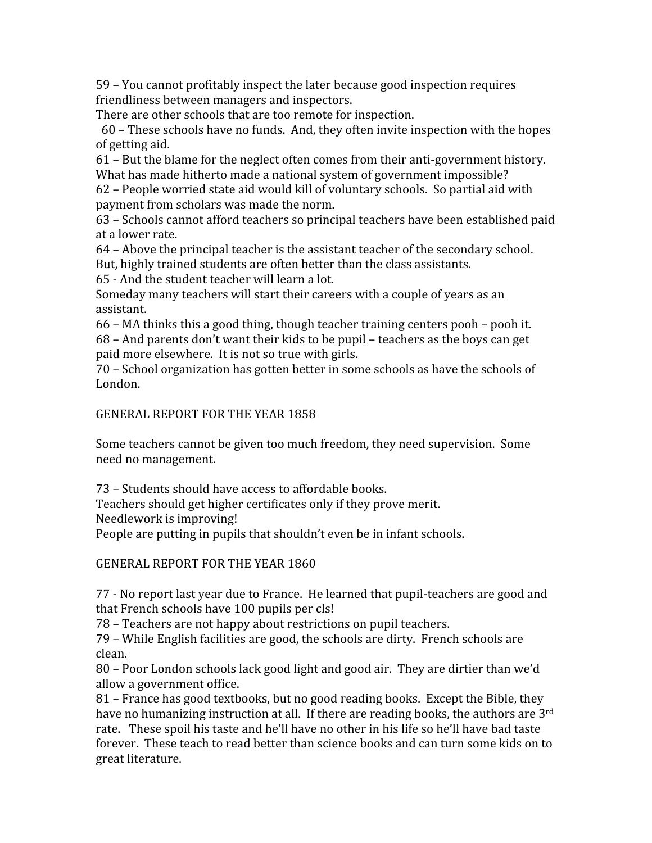59
–
You
cannot
profitably
inspect
the
later
because
good
inspection
requires friendliness
between
managers
and
inspectors.

There
are
other
schools
that
are
too
remote
for
inspection.

60
–
These
schools
have
no
funds.

And,
they
often
invite
inspection
with
the
hopes of
getting
aid.

61
–
But
the
blame
for
the
neglect
often
comes
from
their
anti‐government
history. What has made hitherto made a national system of government impossible?

62
–
People
worried
state
aid
would
kill
of
voluntary
schools.

So
partial
aid
with payment
from
scholars
was
made
the
norm.

63
–
Schools
cannot
afford
teachers
so
principal
teachers
have
been
established
paid at
a
lower
rate.

64
–
Above
the
principal
teacher
is
the
assistant
teacher
of
the
secondary
school.

But,
highly
trained
students
are
often
better
than
the
class
assistants.

65
‐
And
the
student
teacher
will
learn
a
lot.

Someday many teachers will start their careers with a couple of years as an assistant.

66
–
MA
thinks
this
a
good
thing,
though
teacher
training
centers
pooh
–
pooh
it. 68
–
And
parents
don't
want
their
kids
to
be
pupil
–
teachers
as
the
boys
can
get paid
more
elsewhere.

It
is
not
so
true
with
girls.

70
–
School
organization
has
gotten
better
in
some
schools
as
have
the
schools
of London.

#### GENERAL
REPORT
FOR
THE
YEAR
1858

Some teachers cannot be given too much freedom, they need supervision. Some need
no
management.

73
–
Students
should
have
access
to
affordable
books.

Teachers
should
get
higher
certificates
only
if
they
prove
merit.

Needlework
is
improving!

People are putting in pupils that shouldn't even be in infant schools.

GENERAL
REPORT
FOR
THE
YEAR
1860

77
‐
No
report
last
year
due
to
France.

He
learned
that
pupil‐teachers
are
good
and that French schools have 100 pupils per cls!

78
–
Teachers
are
not
happy
about
restrictions
on
pupil
teachers.

79
–
While
English
facilities
are
good,
the
schools
are
dirty.

French
schools
are clean.

80
–
Poor
London
schools
lack
good
light
and
good
air.

They
are
dirtier
than
we'd allow
a
government
office.

81 – France has good textbooks, but no good reading books. Except the Bible, they have no humanizing instruction at all. If there are reading books, the authors are 3rd rate. These spoil his taste and he'll have no other in his life so he'll have bad taste forever. These teach to read better than science books and can turn some kids on to great
literature.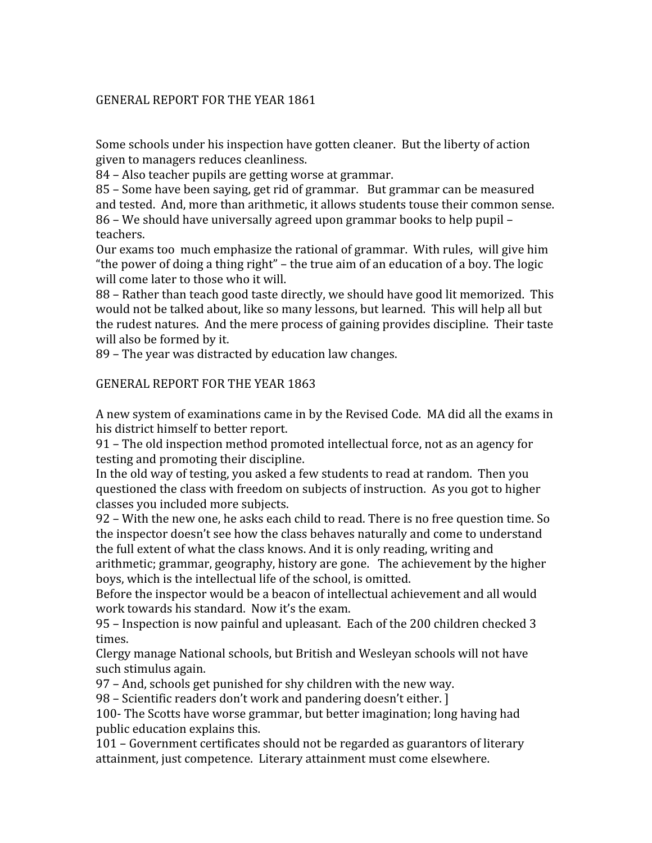## GENERAL
REPORT
FOR
THE
YEAR
1861

Some
schools
under
his
inspection
have
gotten
cleaner.

But
the
liberty
of
action given
to
managers
reduces
cleanliness.

84
–
Also
teacher
pupils
are
getting
worse
at
grammar.

85
–
Some
have
been
saying,
get
rid
of
grammar.

But
grammar
can
be
measured and
tested.

And,
more
than
arithmetic,
it
allows
students
touse
their
common
sense. 86
–
We
should
have
universally
agreed
upon
grammar
books
to
help
pupil
– teachers.

Our exams too much emphasize the rational of grammar. With rules, will give him "the power of doing a thing right" – the true aim of an education of a boy. The logic will come later to those who it will.

88 – Rather than teach good taste directly, we should have good lit memorized. This would not be talked about, like so many lessons, but learned. This will help all but the
rudest
natures.

And
the
mere
process
of
gaining
provides
discipline.

Their
taste will also be formed by it.

89
–
The
year
was
distracted
by
education
law
changes.

### GENERAL
REPORT
FOR
THE
YEAR
1863

A
new
system
of
examinations
came
in
by
the
Revised
Code.

MA
did
all
the
exams
in his
district
himself
to
better
report.

91
–
The
old
inspection
method
promoted
intellectual
force,
not
as
an
agency
for testing
and
promoting
their
discipline.

In the old way of testing, you asked a few students to read at random. Then you questioned
the
class
with
freedom
on
subjects
of
instruction.

As
you
got
to
higher classes
you
included
more
subjects.

92
–
With
the
new
one,
he
asks
each
child
to
read.
There
is
no
free
question
time.
So the
inspector
doesn't
see
how
the
class
behaves
naturally
and
come
to
understand the
full
extent
of
what
the
class
knows.
And
it
is
only
reading,
writing
and

arithmetic;
grammar,
geography,
history
are
gone.

The
achievement
by
the
higher boys,
which
is
the
intellectual
life
of
the
school,
is
omitted.

Before the inspector would be a beacon of intellectual achievement and all would work
towards
his
standard.

Now
it's
the
exam.

95
–
Inspection
is
now
painful
and
upleasant.

Each
of
the
200
children
checked
3 times.

Clergy
manage
National
schools,
but
British
and
Wesleyan
schools
will
not
have such
stimulus
again.

97
–
And,
schools
get
punished
for
shy
children
with
the
new
way.

98
–
Scientific
readers
don't
work
and
pandering
doesn't
either.
]

100‐
The
Scotts
have
worse
grammar,
but
better
imagination;
long
having
had public
education
explains
this.

101
–
Government
certificates
should
not
be
regarded
as
guarantors
of
literary attainment,
just
competence.

Literary
attainment
must
come
elsewhere.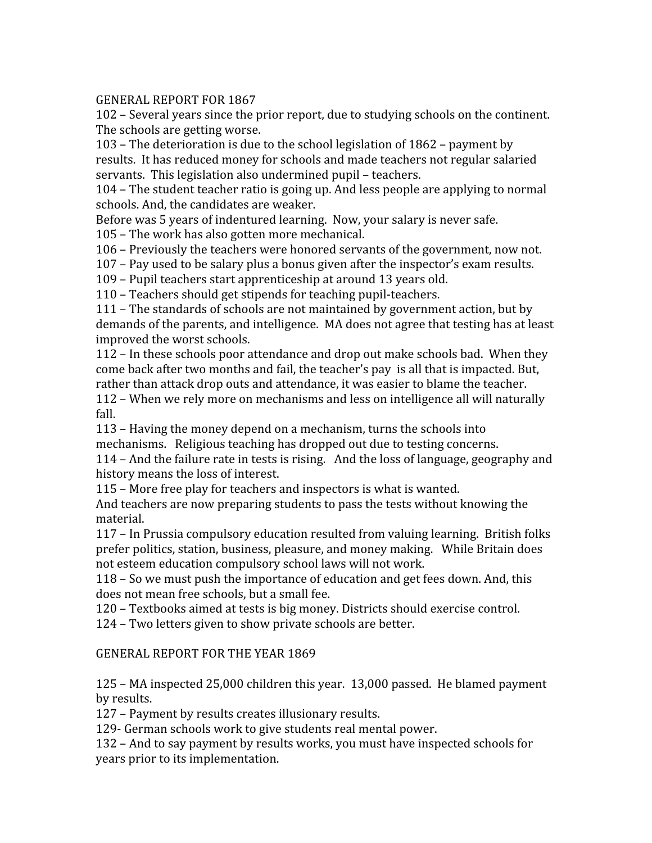# GENERAL
REPORT
FOR
1867

102
–
Several
years
since
the
prior
report,
due
to
studying
schools
on
the
continent. The
schools
are
getting
worse.

103
–
The
deterioration
is
due
to
the
school
legislation
of
1862
–
payment
by results.

It
has
reduced
money
for
schools
and
made
teachers
not
regular
salaried servants.

This
legislation
also
undermined
pupil
–
teachers.

104
–
The
student
teacher
ratio
is
going
up.
And
less
people
are
applying
to
normal schools.
And,
the
candidates
are
weaker.

Before was 5 years of indentured learning. Now, your salary is never safe.

105
–
The
work
has
also
gotten
more
mechanical.

106
–
Previously
the
teachers
were
honored
servants
of
the
government,
now
not.

107
–
Pay
used
to
be
salary
plus
a
bonus
given
after
the
inspector's
exam
results.

109
–
Pupil
teachers
start
apprenticeship
at
around
13
years
old.

110
–
Teachers
should
get
stipends
for
teaching
pupil‐teachers.

111
–
The
standards
of
schools
are
not
maintained
by
government
action,
but
by demands of the parents, and intelligence. MA does not agree that testing has at least improved
the
worst
schools.

112
–
In
these
schools
poor
attendance
and
drop
out
make
schools
bad.

When
they come
back
after
two
months
and
fail,
the
teacher's
pay

is
all
that
is
impacted.
But, rather than attack drop outs and attendance, it was easier to blame the teacher.

112
–
When
we
rely
more
on
mechanisms
and
less
on
intelligence
all
will
naturally fall.

113
–
Having
the
money
depend
on
a
mechanism,
turns
the
schools
into mechanisms.

Religious
teaching
has
dropped
out
due
to
testing
concerns.

114
–
And
the
failure
rate
in
tests
is
rising.

And
the
loss
of
language,
geography
and history
means
the
loss
of
interest.

115
–
More
free
play
for
teachers
and
inspectors
is
what
is
wanted.

And
teachers
are
now
preparing
students
to
pass
the
tests
without
knowing
the material.

117
–
In
Prussia
compulsory
education
resulted
from
valuing
learning.

British
folks prefer
politics,
station,
business,
pleasure,
and
money
making.

While
Britain
does not
esteem
education
compulsory
school
laws
will
not
work.

118
–
So
we
must
push
the
importance
of
education
and
get
fees
down.
And,
this does
not
mean
free
schools,
but
a
small
fee.

120
–
Textbooks
aimed
at
tests
is
big
money.
Districts
should
exercise
control.

124
–
Two
letters
given
to
show
private
schools
are
better.

# GENERAL
REPORT
FOR
THE
YEAR
1869

125 – MA inspected 25,000 children this year. 13,000 passed. He blamed payment by
results.

127
–
Payment
by
results
creates
illusionary
results.

129‐
German
schools
work
to
give
students
real
mental
power.

132
–
And
to
say
payment
by
results
works,
you
must
have
inspected
schools
for years
prior
to
its
implementation.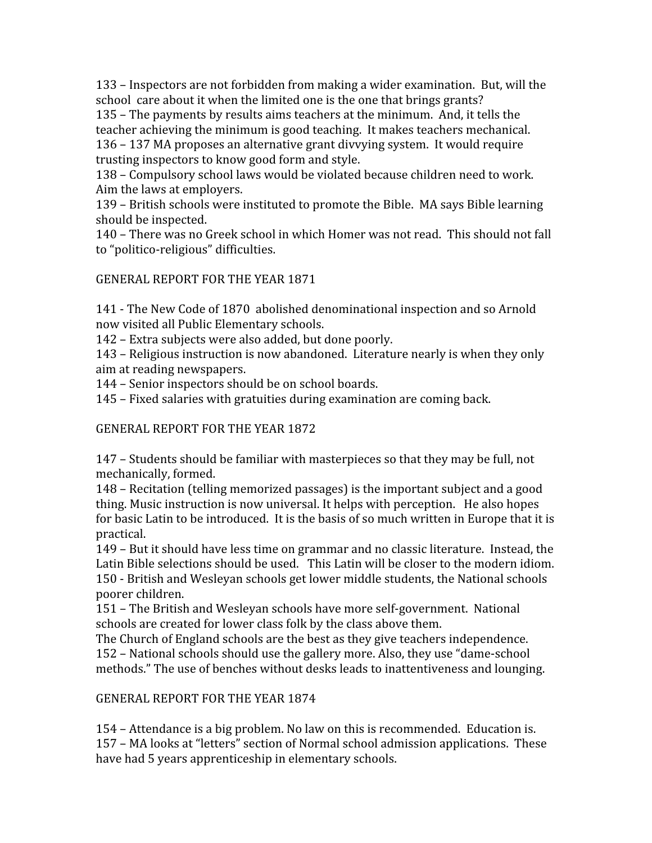133
–
Inspectors
are
not
forbidden
from
making
a
wider
examination.

But,
will
the school care about it when the limited one is the one that brings grants?

135
–
The
payments
by
results
aims
teachers
at
the
minimum.

And,
it
tells
the teacher achieving the minimum is good teaching. It makes teachers mechanical. 136
–
137
MA
proposes
an
alternative
grant
divvying
system.

It
would
require trusting
inspectors
to
know
good
form
and
style.

138
–
Compulsory
school
laws
would
be
violated
because
children
need
to
work. Aim
the
laws
at
employers.

139
–
British
schools
were
instituted
to
promote
the
Bible.

MA
says
Bible
learning should
be
inspected.

140
–
There
was
no
Greek
school
in
which
Homer
was
not
read.

This
should
not
fall to
"politico‐religious"
difficulties.

GENERAL
REPORT
FOR
THE
YEAR
1871

141
‐
The
New
Code
of
1870

abolished
denominational
inspection
and
so
Arnold now
visited
all
Public
Elementary
schools.

142
–
Extra
subjects
were
also
added,
but
done
poorly.

143
–
Religious
instruction
is
now
abandoned.

Literature
nearly
is
when
they
only aim
at
reading
newspapers.

144
–
Senior
inspectors
should
be
on
school
boards.

145
–
Fixed
salaries
with
gratuities
during
examination
are
coming
back.

GENERAL
REPORT
FOR
THE
YEAR
1872

147
–
Students
should
be
familiar
with
masterpieces
so
that
they
may
be
full,
not mechanically,
formed.

148
–
Recitation
(telling
memorized
passages)
is
the
important
subject
and
a
good thing. Music instruction is now universal. It helps with perception. He also hopes for basic Latin to be introduced. It is the basis of so much written in Europe that it is practical.

149
–
But
it
should
have
less
time
on
grammar
and
no
classic
literature.

Instead,
the Latin Bible selections should be used. This Latin will be closer to the modern idiom. 150
‐
British
and
Wesleyan
schools
get
lower
middle
students,
the
National
schools poorer
children.

151
–
The
British
and
Wesleyan
schools
have
more
self‐government.

National schools
are
created
for
lower
class
folk
by
the
class
above
them.

The Church of England schools are the best as they give teachers independence. 152
–
National
schools
should
use
the
gallery
more.
Also,
they
use
"dame‐school methods." The use of benches without desks leads to inattentiveness and lounging.

GENERAL
REPORT
FOR
THE
YEAR
1874

154
–
Attendance
is
a
big
problem.
No
law
on
this
is
recommended.

Education
is. 157
–
MA
looks
at
"letters"
section
of
Normal
school
admission
applications.

These have
had
5
years
apprenticeship
in
elementary
schools.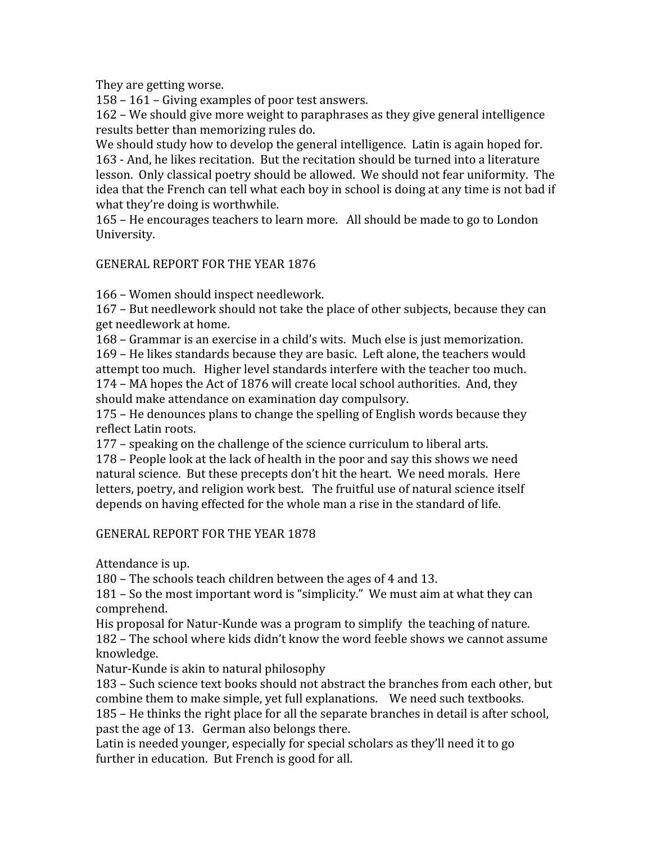They
are
getting
worse.

158
–
161
–
Giving
examples
of
poor
test
answers.

162
–
We
should
give
more
weight
to
paraphrases
as
they
give
general
intelligence results
better
than
memorizing
rules
do.

We should study how to develop the general intelligence. Latin is again hoped for. 163
‐
And,
he
likes
recitation.

But
the
recitation
should
be
turned
into
a
literature lesson.

Only
classical
poetry
should
be
allowed.

We
should
not
fear
uniformity.

The idea that the French can tell what each boy in school is doing at any time is not bad if what they're doing is worthwhile.

165
–
He
encourages
teachers
to
learn
more.

All
should
be
made
to
go
to
London University.

GENERAL
REPORT
FOR
THE
YEAR
1876

166
–
Women
should
inspect
needlework.

167
–
But
needlework
should
not
take
the
place
of
other
subjects,
because
they
can get
needlework
at
home.

168
–
Grammar
is
an
exercise
in
a
child's
wits.

Much
else
is
just
memorization. 169
–
He
likes
standards
because
they
are
basic.

Left
alone,
the
teachers
would attempt
too
much.

Higher
level
standards
interfere
with
the
teacher
too
much. 174
–
MA
hopes
the
Act
of
1876
will
create
local
school
authorities.

And,
they should
make
attendance
on
examination
day
compulsory.

175
–
He
denounces
plans
to
change
the
spelling
of
English
words
because
they reflect
Latin
roots.

177
–
speaking
on
the
challenge
of
the
science
curriculum
to
liberal
arts.

178
–
People
look
at
the
lack
of
health
in
the
poor
and
say
this
shows
we
need natural science. But these precepts don't hit the heart. We need morals. Here letters, poetry, and religion work best. The fruitful use of natural science itself depends
on
having
effected
for
the
whole
man
a
rise
in
the
standard
of
life.

# GENERAL
REPORT
FOR
THE
YEAR
1878

Attendance
is
up.

180
–
The
schools
teach
children
between
the
ages
of
4
and
13.

181 – So the most important word is "simplicity." We must aim at what they can comprehend.

His proposal for Natur-Kunde was a program to simplify the teaching of nature. 182
–
The
school
where
kids
didn't
know
the
word
feeble
shows
we
cannot
assume knowledge.

Natur-Kunde is akin to natural philosophy

183
–
Such
science
text
books
should
not
abstract
the
branches
from
each
other,
but combine
them
to
make
simple,
yet
full
explanations.

We
need
such
textbooks.

185
–
He
thinks
the
right
place
for
all
the
separate
branches
in
detail
is
after
school, past
the
age
of
13.

German
also
belongs
there.

Latin is needed younger, especially for special scholars as they'll need it to go further in education. But French is good for all.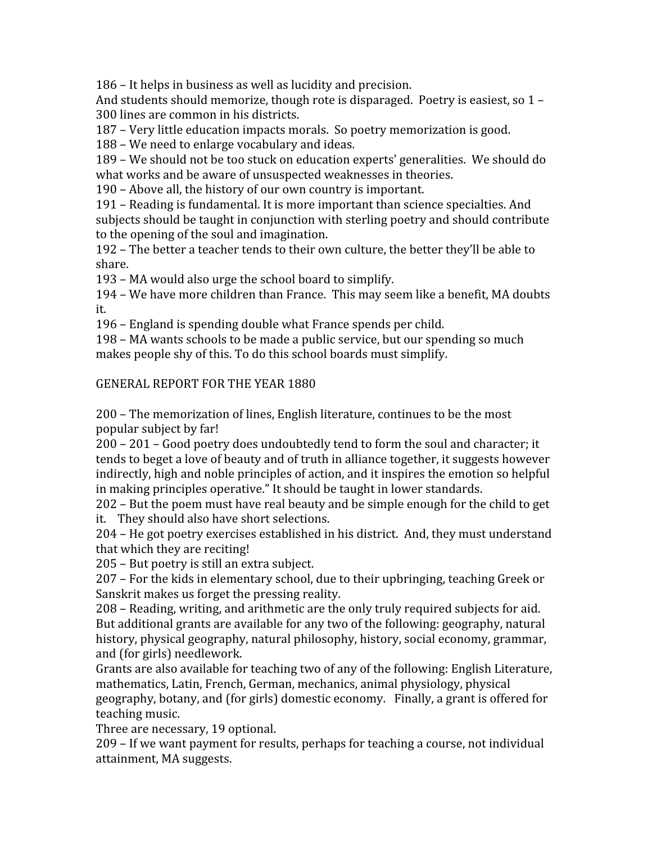186
–
It
helps
in
business
as
well
as
lucidity
and
precision.

And students should memorize, though rote is disparaged. Poetry is easiest, so 1 -300
lines
are
common
in
his
districts.

187 – Very little education impacts morals. So poetry memorization is good.

188
–
We
need
to
enlarge
vocabulary
and
ideas.

189
–
We
should
not
be
too
stuck
on
education
experts'
generalities.

We
should
do what works and be aware of unsuspected weaknesses in theories.

190
–
Above
all,
the
history
of
our
own
country
is
important.

191
–
Reading
is
fundamental.
It
is
more
important
than
science
specialties.
And subjects should be taught in conjunction with sterling poetry and should contribute to
the
opening
of
the
soul
and
imagination.

192 – The better a teacher tends to their own culture, the better they'll be able to share.

193
–
MA
would
also
urge
the
school
board
to
simplify.

194
–
We
have
more
children
than
France.

This
may
seem
like
a
benefit,
MA
doubts it.

196
–
England
is
spending
double
what
France
spends
per
child.

198
–
MA
wants
schools
to
be
made
a
public
service,
but
our
spending
so
much makes people shy of this. To do this school boards must simplify.

# GENERAL
REPORT
FOR
THE
YEAR
1880

200
–
The
memorization
of
lines,
English
literature,
continues
to
be
the
most popular
subject
by
far!

200
–
201
–
Good
poetry
does
undoubtedly
tend
to
form
the
soul
and
character;
it tends
to
beget
a
love
of
beauty
and
of
truth
in
alliance
together,
it
suggests
however indirectly,
high
and
noble
principles
of
action,
and
it
inspires
the
emotion
so
helpful in
making
principles
operative."
It
should
be
taught
in
lower
standards.

202
–
But
the
poem
must
have
real
beauty
and
be
simple
enough
for
the
child
to
get it.

They
should
also
have
short
selections.

204
–
He
got
poetry
exercises
established
in
his
district.

And,
they
must
understand that
which
they
are
reciting!

205
–
But
poetry
is
still
an
extra
subject.

207
–
For
the
kids
in
elementary
school,
due
to
their
upbringing,
teaching
Greek
or Sanskrit
makes
us
forget
the
pressing
reality.

208
–
Reading,
writing,
and
arithmetic
are
the
only
truly
required
subjects
for
aid. But additional grants are available for any two of the following: geography, natural history, physical geography, natural philosophy, history, social economy, grammar, and
(for
girls)
needlework.

Grants are also available for teaching two of any of the following: English Literature, mathematics,
Latin,
French,
German,
mechanics,
animal
physiology,
physical geography, botany, and (for girls) domestic economy. Finally, a grant is offered for teaching
music.

Three
are
necessary,
19
optional.

209
–
If
we
want
payment
for
results,
perhaps
for
teaching
a
course,
not
individual attainment,
MA
suggests.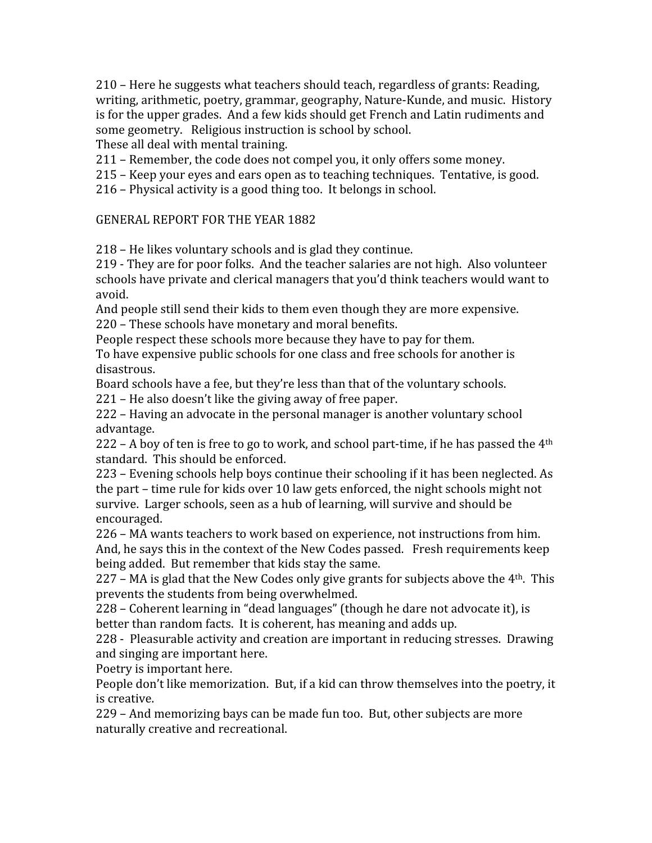210
–
Here
he
suggests
what
teachers
should
teach,
regardless
of
grants:
Reading, writing, arithmetic, poetry, grammar, geography, Nature-Kunde, and music. History is
for
the
upper
grades.

And
a
few
kids
should
get
French
and
Latin
rudiments
and some
geometry.

Religious
instruction
is
school
by
school.

These
all
deal
with
mental
training.

211
–
Remember,
the
code
does
not
compel
you,
it
only
offers
some
money.

215
–
Keep
your
eyes
and
ears
open
as
to
teaching
techniques.

Tentative,
is
good.

216
–
Physical
activity
is
a
good
thing
too.

It
belongs
in
school.

# GENERAL
REPORT
FOR
THE
YEAR
1882

218
–
He
likes
voluntary
schools
and
is
glad
they
continue.

219
‐
They
are
for
poor
folks.

And
the
teacher
salaries
are
not
high.

Also
volunteer schools
have
private
and
clerical
managers
that
you'd
think
teachers
would
want
to avoid.

And people still send their kids to them even though they are more expensive. 220
–
These
schools
have
monetary
and
moral
benefits.

People respect these schools more because they have to pay for them.

To have expensive public schools for one class and free schools for another is disastrous.

Board
schools
have
a
fee,
but
they're
less
than
that
of
the
voluntary
schools.

221
–
He
also
doesn't
like
the
giving
away
of
free
paper.

222
–
Having
an
advocate
in
the
personal
manager
is
another
voluntary
school advantage.

222 – A boy of ten is free to go to work, and school part-time, if he has passed the  $4<sup>th</sup>$ standard.

This
should
be
enforced.

223
–
Evening
schools
help
boys
continue
their
schooling
if
it
has
been
neglected.
As the part – time rule for kids over 10 law gets enforced, the night schools might not survive.

Larger
schools,
seen
as
a
hub
of
learning,
will
survive
and
should
be encouraged.

226
–
MA
wants
teachers
to
work
based
on
experience,
not
instructions
from
him. And, he says this in the context of the New Codes passed. Fresh requirements keep being
added.

But
remember
that
kids
stay
the
same.

227 – MA is glad that the New Codes only give grants for subjects above the 4<sup>th</sup>. This prevents
the
students
from
being
overwhelmed.

228 – Coherent learning in "dead languages" (though he dare not advocate it), is better
than
random
facts.

It
is
coherent,
has
meaning
and
adds
up.

228
‐

Pleasurable
activity
and
creation
are
important
in
reducing
stresses.

Drawing and
singing
are
important
here.

Poetry
is
important
here.

People don't like memorization. But, if a kid can throw themselves into the poetry, it is
creative.

229
–
And
memorizing
bays
can
be
made
fun
too.

But,
other
subjects
are
more naturally
creative
and
recreational.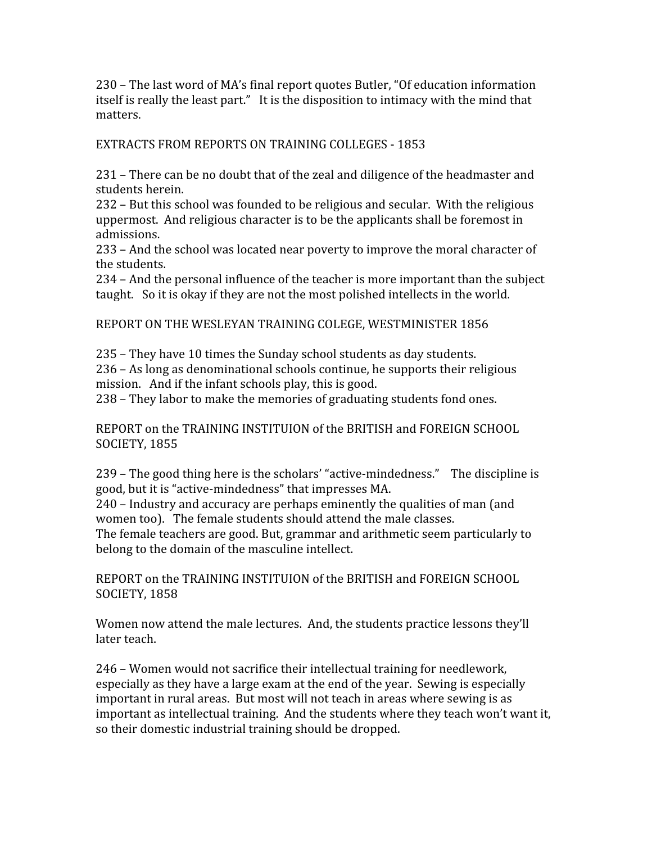230
–
The
last
word
of
MA's
final
report
quotes
Butler,
"Of
education
information itself is really the least part." It is the disposition to intimacy with the mind that matters.

EXTRACTS
FROM
REPORTS
ON
TRAINING
COLLEGES
‐ 1853

231
–
There
can
be
no
doubt
that
of
the
zeal
and
diligence
of
the
headmaster
and students
herein.

232
–
But
this
school
was
founded
to
be
religious
and
secular.

With
the
religious uppermost. And religious character is to be the applicants shall be foremost in admissions.

233
–
And
the
school
was
located
near
poverty
to
improve
the
moral
character
of the
students.

234
–
And
the
personal
influence
of
the
teacher
is
more
important
than
the
subject taught. So it is okay if they are not the most polished intellects in the world.

REPORT
ON
THE
WESLEYAN
TRAINING
COLEGE,
WESTMINISTER
1856

235
–
They
have
10
times
the
Sunday
school
students
as
day
students. 236
–
As
long
as
denominational
schools
continue,
he
supports
their
religious mission. And if the infant schools play, this is good.

238
–
They
labor
to
make
the
memories
of
graduating
students
fond
ones.

REPORT on the TRAINING INSTITUION of the BRITISH and FOREIGN SCHOOL SOCIETY,
1855

239 – The good thing here is the scholars' "active-mindedness." The discipline is good,
but
it
is
"active‐mindedness"
that
impresses
MA.

240
–
Industry
and
accuracy
are
perhaps
eminently
the
qualities
of
man
(and women too). The female students should attend the male classes.

The
female
teachers
are
good.
But,
grammar
and
arithmetic
seem
particularly
to belong to the domain of the masculine intellect.

REPORT on the TRAINING INSTITUION of the BRITISH and FOREIGN SCHOOL SOCIETY,
1858

Women now attend the male lectures. And, the students practice lessons they'll later
teach.

246
–
Women
would
not
sacrifice
their
intellectual
training
for
needlework, especially as they have a large exam at the end of the year. Sewing is especially important in rural areas. But most will not teach in areas where sewing is as important as intellectual training. And the students where they teach won't want it, so
their
domestic
industrial
training
should
be
dropped.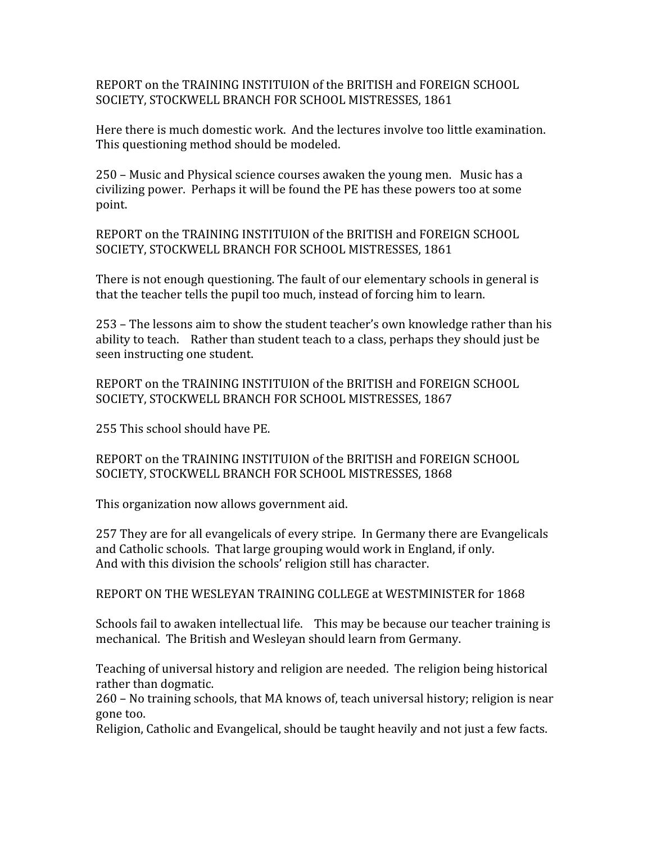REPORT on the TRAINING INSTITUION of the BRITISH and FOREIGN SCHOOL SOCIETY, STOCKWELL BRANCH FOR SCHOOL MISTRESSES, 1861

Here
there
is
much
domestic
work.

And
the
lectures
involve
too
little
examination. This
questioning
method
should
be
modeled.

250 – Music and Physical science courses awaken the young men. Music has a civilizing
power.

Perhaps
it
will
be
found
the
PE
has
these
powers
too
at
some point.

REPORT on the TRAINING INSTITUION of the BRITISH and FOREIGN SCHOOL SOCIETY,
STOCKWELL
BRANCH
FOR
SCHOOL
MISTRESSES,
1861

There is not enough questioning. The fault of our elementary schools in general is that
the
teacher
tells
the
pupil
too
much,
instead
of
forcing
him
to
learn.

253
–
The
lessons
aim
to
show
the
student
teacher's
own
knowledge
rather
than
his ability to teach. Rather than student teach to a class, perhaps they should just be seen
instructing
one
student.

REPORT on the TRAINING INSTITUION of the BRITISH and FOREIGN SCHOOL SOCIETY, STOCKWELL BRANCH FOR SCHOOL MISTRESSES, 1867

255
This
school
should
have
PE.

REPORT on the TRAINING INSTITUION of the BRITISH and FOREIGN SCHOOL SOCIETY,
STOCKWELL
BRANCH
FOR
SCHOOL
MISTRESSES,
1868

This
organization
now
allows
government
aid.

257
They
are
for
all
evangelicals
of
every
stripe.

In
Germany
there
are
Evangelicals and
Catholic
schools.

That
large
grouping
would
work
in
England,
if
only. And
with
this
division
the
schools'
religion
still
has
character.

REPORT ON THE WESLEYAN TRAINING COLLEGE at WESTMINISTER for 1868

Schools fail to awaken intellectual life. This may be because our teacher training is mechanical.

The
British
and
Wesleyan
should
learn
from
Germany.

Teaching of universal history and religion are needed. The religion being historical rather
than
dogmatic.

260
–
No
training
schools,
that
MA
knows
of,
teach
universal
history;
religion
is
near gone
too.

Religion,
Catholic
and
Evangelical,
should
be
taught
heavily
and
not
just
a
few
facts.